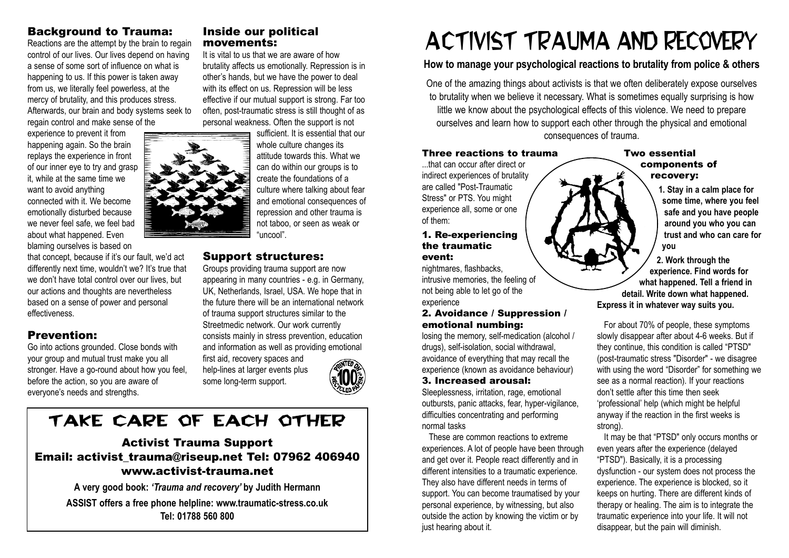## Background to Trauma:

Reactions are the attempt by the brain to regain control of our lives. Our lives depend on having a sense of some sort of influence on what is happening to us. If this power is taken away from us, we literally feel powerless, at the mercy of brutality, and this produces stress. Afterwards, our brain and body systems seek to regain control and make sense of the

experience to prevent it from happening again. So the brain replays the experience in front of our inner eye to try and grasp it, while at the same time we want to avoid anything connected with it. We become emotionally disturbed because we never feel safe, we feel bad about what happened. Even blaming ourselves is based on

that concept, because if it's our fault, we'd act differently next time, wouldn't we? It's true that we don't have total control over our lives, but our actions and thoughts are nevertheless based on a sense of power and personal effectiveness.

## Prevention:

Go into actions grounded. Close bonds with your group and mutual trust make you all stronger. Have a go-round about how you feel. before the action, so you are aware of everyone's needs and strengths.

## Inside our political movements:

It is vital to us that we are aware of how brutality affects us emotionally. Repression is in other's hands, but we have the power to deal with its effect on us. Repression will be less effective if our mutual support is strong. Far too often, post-traumatic stress is still thought of as personal weakness. Often the support is not

> sufficient. It is essential that our whole culture changes its attitude towards this. What we can do within our groups is to create the foundations of a culture where talking about fear and emotional consequences of repression and other trauma is not taboo, or seen as weak or "uncool".

## Support structures:

Groups providing trauma support are now appearing in many countries - e.g. in Germany, UK, Netherlands, Israel, USA. We hope that in the future there will be an international network of trauma support structures similar to the Streetmedic network. Our work currently consists mainly in stress prevention, education and information as well as providing emotional

first aid, recovery spaces and help-lines at larger events plus some long-term support.



# TAKE CARE OF EACH OTHER

## Activist Trauma Support Email: activist\_trauma@riseup.net Tel: 07962 406940 www.activist-trauma.net

**A very good book:** *'Trauma and recovery'* **by Judith Hermann ASSIST offers a free phone helpline: www.traumatic-stress.co.uk Tel: 01788 560 800**

# Activist trauma and recovery

## **How to manage your psychological reactions to brutality from police & others**

One of the amazing things about activists is that we often deliberately expose ourselves to brutality when we believe it necessary. What is sometimes equally surprising is how little we know about the psychological effects of this violence. We need to prepare ourselves and learn how to support each other through the physical and emotional consequences of trauma.

#### Three reactions to trauma

...that can occur after direct or indirect experiences of brutality are called "Post-Traumatic Stress" or PTS. You might experience all, some or one of them:

#### 1. Re-experiencing the traumatic event:

nightmares, flashbacks, intrusive memories, the feeling of not being able to let go of the experience

#### 2. Avoidance / Suppression / emotional numbing:

losing the memory, self-medication (alcohol / drugs), self-isolation, social withdrawal, avoidance of everything that may recall the experience (known as avoidance behaviour) 3. Increased arousal:

Sleeplessness, irritation, rage, emotional outbursts, panic attacks, fear, hyper-vigilance, difficulties concentrating and performing normal tasks

These are common reactions to extreme experiences. A lot of people have been through and get over it. People react differently and in different intensities to a traumatic experience. They also have different needs in terms of support. You can become traumatised by your personal experience, by witnessing, but also outside the action by knowing the victim or by just hearing about it.

#### Two essential components of recovery:

**1. Stay in a calm place for some time, where you feel safe and you have people around you who you can trust and who can care for you**

**2. Work through the experience. Find words for what happened. Tell a friend in detail. Write down what happened. Express it in whatever way suits you.**

For about 70% of people, these symptoms slowly disappear after about 4-6 weeks. But if they continue, this condition is called "PTSD" (post-traumatic stress "Disorder" - we disagree with using the word "Disorder" for something we see as a normal reaction). If your reactions don't settle after this time then seek 'professional' help (which might be helpful anyway if the reaction in the first weeks is strong).

It may be that "PTSD" only occurs months or even years after the experience (delayed "PTSD"). Basically, it is a processing dysfunction - our system does not process the experience. The experience is blocked, so it keeps on hurting. There are different kinds of therapy or healing. The aim is to integrate the traumatic experience into your life. It will not disappear, but the pain will diminish.